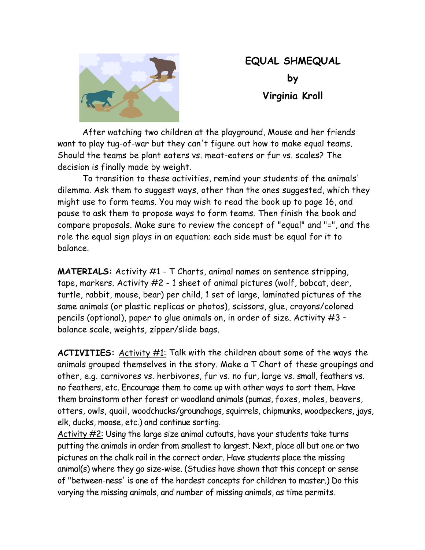

## **EQUAL SHMEQUAL by Virginia Kroll**

After watching two children at the playground, Mouse and her friends want to play tug-of-war but they can't figure out how to make equal teams. Should the teams be plant eaters vs. meat-eaters or fur vs. scales? The decision is finally made by weight.

To transition to these activities, remind your students of the animals' dilemma. Ask them to suggest ways, other than the ones suggested, which they might use to form teams. You may wish to read the book up to page 16, and pause to ask them to propose ways to form teams. Then finish the book and compare proposals. Make sure to review the concept of "equal" and "=", and the role the equal sign plays in an equation; each side must be equal for it to balance.

**MATERIALS:** Activity #1 - T Charts, animal names on sentence stripping, tape, markers. Activity #2 - 1 sheet of animal pictures (wolf, bobcat, deer, turtle, rabbit, mouse, bear) per child, 1 set of large, laminated pictures of the same animals (or plastic replicas or photos), scissors, glue, crayons/colored pencils (optional), paper to glue animals on, in order of size. Activity #3 – balance scale, weights, zipper/slide bags.

**ACTIVITIES:** Activity #1: Talk with the children about some of the ways the animals grouped themselves in the story. Make a T Chart of these groupings and other, e.g. carnivores vs. herbivores, fur vs. no fur, large vs. small, feathers vs. no feathers, etc. Encourage them to come up with other ways to sort them. Have them brainstorm other forest or woodland animals (pumas, foxes, moles, beavers, otters, owls, quail, woodchucks/groundhogs, squirrels, chipmunks, woodpeckers, jays, elk, ducks, moose, etc.) and continue sorting.

Activity #2: Using the large size animal cutouts, have your students take turns putting the animals in order from smallest to largest. Next, place all but one or two pictures on the chalk rail in the correct order. Have students place the missing animal(s) where they go size-wise. (Studies have shown that this concept or sense of "between-ness' is one of the hardest concepts for children to master.) Do this varying the missing animals, and number of missing animals, as time permits.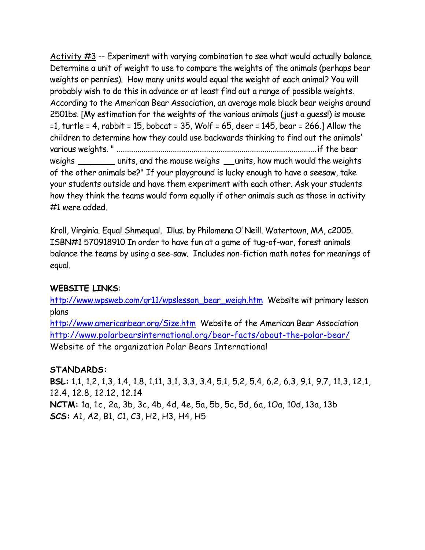Activity  $\#3$  -- Experiment with varying combination to see what would actually balance. Determine a unit of weight to use to compare the weights of the animals (perhaps bear weights or pennies). How many units would equal the weight of each animal? You will probably wish to do this in advance or at least find out a range of possible weights. According to the American Bear Association, an average male black bear weighs around 2501bs. [My estimation for the weights of the various animals (just a guess!) is mouse =1, turtle = 4, rabbit = 15, bobcat = 35, Wolf = 65, deer = 145, bear = 266.] Allow the children to determine how they could use backwards thinking to find out the animals' various weights. " ................................................................................................if the bear weighs \_\_\_\_\_\_\_ units, and the mouse weighs \_\_units, how much would the weights of the other animals be?" If your playground is lucky enough to have a seesaw, take your students outside and have them experiment with each other. Ask your students how they think the teams would form equally if other animals such as those in activity #1 were added.

Kroll, Virginia. Equal Shmequal. Illus. by Philomena O'Neill. Watertown, MA, c2005. ISBN#1 570918910 In order to have fun at a game of tug-of-war, forest animals balance the teams by using a see-saw. Includes non-fiction math notes for meanings of equal.

## **WEBSITE LINKS**:

http://www.wpsweb.com/gr11/wpslesson\_bear\_weigh.htm Website wit primary lesson plans

http://www.americanbear.org/Size.htm Website of the American Bear Association http://www.polarbearsinternational.org/bear-facts/about-the-polar-bear/ Website of the organization Polar Bears International

## **STANDARDS:**

**BSL:** 1.1, 1.2, 1.3, 1.4, 1.8, 1.11, 3.1, 3.3, 3.4, 5.1, 5.2, 5.4, 6.2, 6.3, 9.1, 9.7, 11.3, 12.1, 12.4, 12.8, 12.12, 12.14 **NCTM:** 1a, 1c, 2a, 3b, 3c, 4b, 4d, 4e, 5a, 5b, 5c, 5d, 6a, 1Oa, 10d, 13a, 13b **SCS:** A1, A2, B1, C1, C3, H2, H3, H4, H5